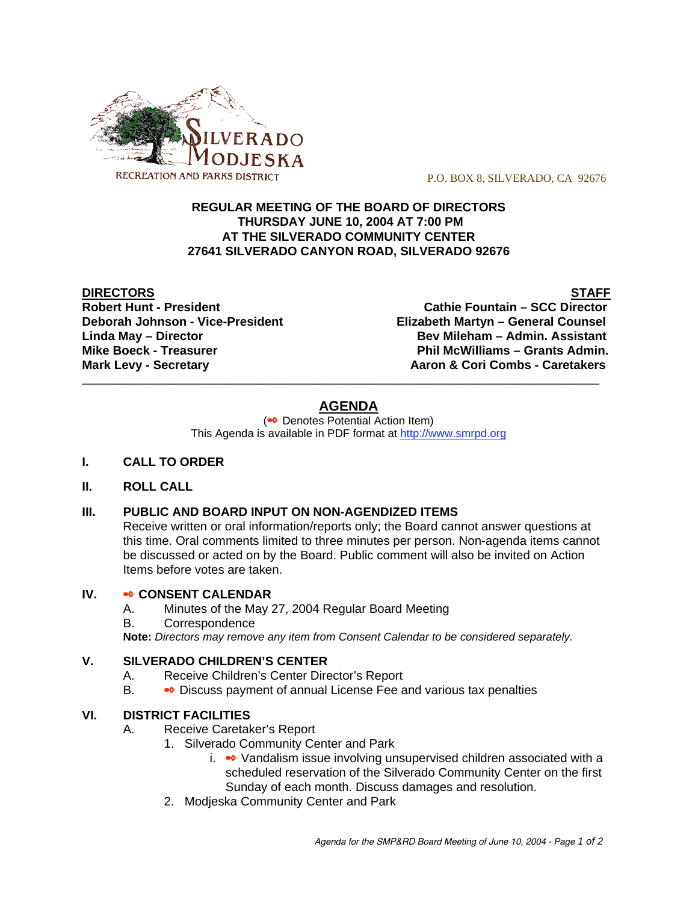

P.O. BOX 8, SILVERADO, CA 92676

# **REGULAR MEETING OF THE BOARD OF DIRECTORS THURSDAY JUNE 10, 2004 AT 7:00 PM AT THE SILVERADO COMMUNITY CENTER 27641 SILVERADO CANYON ROAD, SILVERADO 92676**

**DIRECTORS STAFF**

**Robert Hunt - President Cathie Fountain – SCC Director Deborah Johnson - Vice-President Elizabeth Martyn – General Counsel Linda May – Director Bev Mileham – Admin. Assistant Mike Boeck - Treasurer Phil McWilliams – Grants Admin. Mark Levy - Secretary Combs - Caretakers** Aaron & Cori Combs - Caretakers

# **AGENDA**

\_\_\_\_\_\_\_\_\_\_\_\_\_\_\_\_\_\_\_\_\_\_\_\_\_\_\_\_\_\_\_\_\_\_\_\_\_\_\_\_\_\_\_\_\_\_\_\_\_\_\_\_\_\_\_\_\_\_\_\_\_\_\_\_\_\_\_\_\_\_\_\_\_\_\_\_\_\_\_\_\_\_\_

(<sup>●●</sup> Denotes Potential Action Item) This Agenda is available in PDF format at http://www.smrpd.org

- **I. CALL TO ORDER**
- **II. ROLL CALL**

# **III. PUBLIC AND BOARD INPUT ON NON-AGENDIZED ITEMS**

Receive written or oral information/reports only; the Board cannot answer questions at this time. Oral comments limited to three minutes per person. Non-agenda items cannot be discussed or acted on by the Board. Public comment will also be invited on Action Items before votes are taken.

### **IV. • CONSENT CALENDAR**

- A. Minutes of the May 27, 2004 Regular Board Meeting
- B. Correspondence

**Note:** *Directors may remove any item from Consent Calendar to be considered separately.*

# **V. SILVERADO CHILDREN'S CENTER**

- A. Receive Children's Center Director's Report
- B. Discuss payment of annual License Fee and various tax penalties

# **VI. DISTRICT FACILITIES**

- A. Receive Caretaker's Report
	- 1. Silverado Community Center and Park
		- i.  $\bullet\bullet$  Vandalism issue involving unsupervised children associated with a scheduled reservation of the Silverado Community Center on the first Sunday of each month. Discuss damages and resolution.
	- 2. Modjeska Community Center and Park